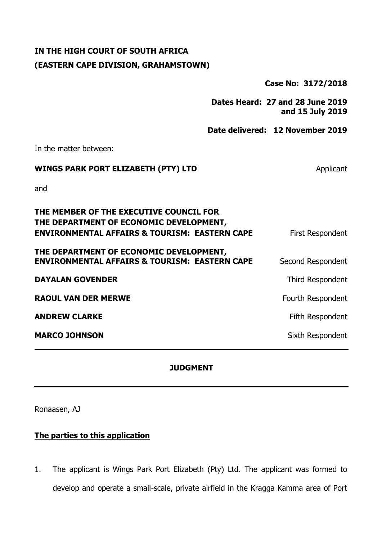### **IN THE HIGH COURT OF SOUTH AFRICA (EASTERN CAPE DIVISION, GRAHAMSTOWN)**

**Case No: 3172/2018**

**Dates Heard: 27 and 28 June 2019 and 15 July 2019**

**Date delivered: 12 November 2019**

In the matter between:

# **WINGS PARK PORT ELIZABETH (PTY) LTD** Applicant

and

| THE MEMBER OF THE EXECUTIVE COUNCIL FOR<br>THE DEPARTMENT OF ECONOMIC DEVELOPMENT,                  |                   |
|-----------------------------------------------------------------------------------------------------|-------------------|
| <b>ENVIRONMENTAL AFFAIRS &amp; TOURISM: EASTERN CAPE</b>                                            | First Respondent  |
| THE DEPARTMENT OF ECONOMIC DEVELOPMENT,<br><b>ENVIRONMENTAL AFFAIRS &amp; TOURISM: EASTERN CAPE</b> | Second Respondent |
| <b>DAYALAN GOVENDER</b>                                                                             | Third Respondent  |
| <b>RAOUL VAN DER MERWE</b>                                                                          | Fourth Respondent |
| <b>ANDREW CLARKE</b>                                                                                | Fifth Respondent  |
| <b>MARCO JOHNSON</b>                                                                                | Sixth Respondent  |

#### **JUDGMENT**

Ronaasen, AJ

#### **The parties to this application**

1. The applicant is Wings Park Port Elizabeth (Pty) Ltd. The applicant was formed to develop and operate a small-scale, private airfield in the Kragga Kamma area of Port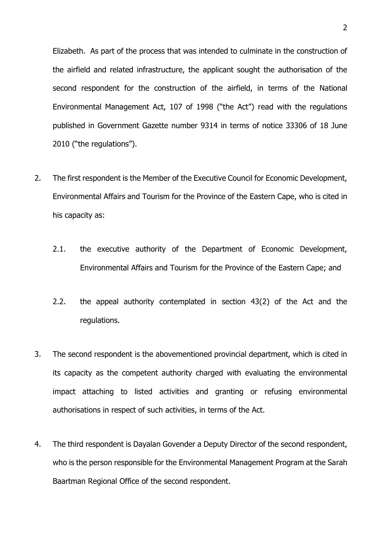Elizabeth. As part of the process that was intended to culminate in the construction of the airfield and related infrastructure, the applicant sought the authorisation of the second respondent for the construction of the airfield, in terms of the National Environmental Management Act, 107 of 1998 ("the Act") read with the regulations published in Government Gazette number 9314 in terms of notice 33306 of 18 June 2010 ("the regulations").

- 2. The first respondent is the Member of the Executive Council for Economic Development, Environmental Affairs and Tourism for the Province of the Eastern Cape, who is cited in his capacity as:
	- 2.1. the executive authority of the Department of Economic Development, Environmental Affairs and Tourism for the Province of the Eastern Cape; and
	- 2.2. the appeal authority contemplated in section 43(2) of the Act and the regulations.
- 3. The second respondent is the abovementioned provincial department, which is cited in its capacity as the competent authority charged with evaluating the environmental impact attaching to listed activities and granting or refusing environmental authorisations in respect of such activities, in terms of the Act.
- 4. The third respondent is Dayalan Govender a Deputy Director of the second respondent, who is the person responsible for the Environmental Management Program at the Sarah Baartman Regional Office of the second respondent.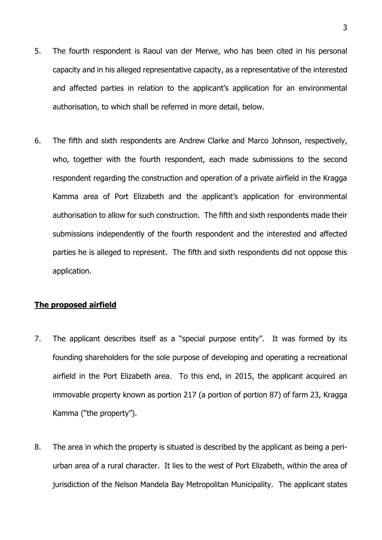- 5. The fourth respondent is Raoul van der Merwe, who has been cited in his personal capacity and in his alleged representative capacity, as a representative of the interested and affected parties in relation to the applicant's application for an environmental authorisation, to which shall be referred in more detail, below.
- 6. The fifth and sixth respondents are Andrew Clarke and Marco Johnson, respectively, who, together with the fourth respondent, each made submissions to the second respondent regarding the construction and operation of a private airfield in the Kragga Kamma area of Port Elizabeth and the applicant's application for environmental authorisation to allow for such construction. The fifth and sixth respondents made their submissions independently of the fourth respondent and the interested and affected parties he is alleged to represent. The fifth and sixth respondents did not oppose this application.

#### **The proposed airfield**

- 7. The applicant describes itself as a "special purpose entity". It was formed by its founding shareholders for the sole purpose of developing and operating a recreational airfield in the Port Elizabeth area. To this end, in 2015, the applicant acquired an immovable property known as portion 217 (a portion of portion 87) of farm 23, Kragga Kamma ("the property").
- 8. The area in which the property is situated is described by the applicant as being a periurban area of a rural character. It lies to the west of Port Elizabeth, within the area of jurisdiction of the Nelson Mandela Bay Metropolitan Municipality. The applicant states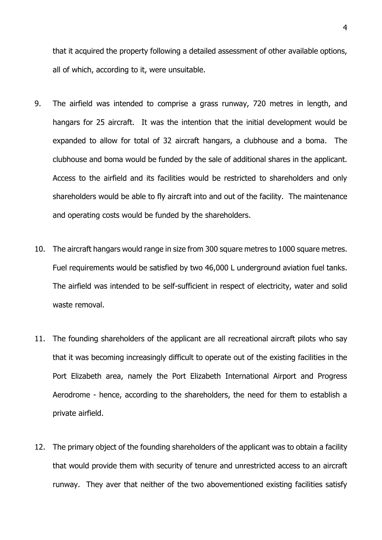that it acquired the property following a detailed assessment of other available options, all of which, according to it, were unsuitable.

- 9. The airfield was intended to comprise a grass runway, 720 metres in length, and hangars for 25 aircraft. It was the intention that the initial development would be expanded to allow for total of 32 aircraft hangars, a clubhouse and a boma. The clubhouse and boma would be funded by the sale of additional shares in the applicant. Access to the airfield and its facilities would be restricted to shareholders and only shareholders would be able to fly aircraft into and out of the facility. The maintenance and operating costs would be funded by the shareholders.
- 10. The aircraft hangars would range in size from 300 square metres to 1000 square metres. Fuel requirements would be satisfied by two 46,000 L underground aviation fuel tanks. The airfield was intended to be self-sufficient in respect of electricity, water and solid waste removal.
- 11. The founding shareholders of the applicant are all recreational aircraft pilots who say that it was becoming increasingly difficult to operate out of the existing facilities in the Port Elizabeth area, namely the Port Elizabeth International Airport and Progress Aerodrome - hence, according to the shareholders, the need for them to establish a private airfield.
- 12. The primary object of the founding shareholders of the applicant was to obtain a facility that would provide them with security of tenure and unrestricted access to an aircraft runway. They aver that neither of the two abovementioned existing facilities satisfy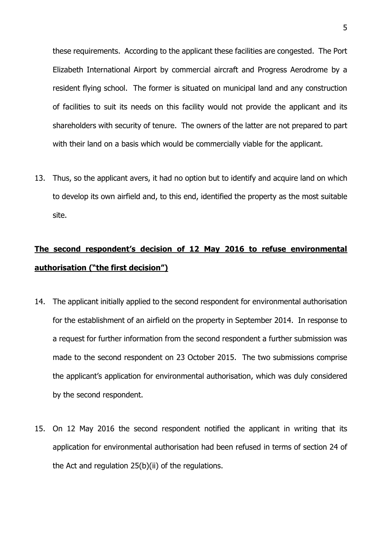these requirements. According to the applicant these facilities are congested. The Port Elizabeth International Airport by commercial aircraft and Progress Aerodrome by a resident flying school. The former is situated on municipal land and any construction of facilities to suit its needs on this facility would not provide the applicant and its shareholders with security of tenure. The owners of the latter are not prepared to part with their land on a basis which would be commercially viable for the applicant.

13. Thus, so the applicant avers, it had no option but to identify and acquire land on which to develop its own airfield and, to this end, identified the property as the most suitable site.

# **The second respondent's decision of 12 May 2016 to refuse environmental authorisation ("the first decision")**

- 14. The applicant initially applied to the second respondent for environmental authorisation for the establishment of an airfield on the property in September 2014. In response to a request for further information from the second respondent a further submission was made to the second respondent on 23 October 2015. The two submissions comprise the applicant's application for environmental authorisation, which was duly considered by the second respondent.
- 15. On 12 May 2016 the second respondent notified the applicant in writing that its application for environmental authorisation had been refused in terms of section 24 of the Act and regulation 25(b)(ii) of the regulations.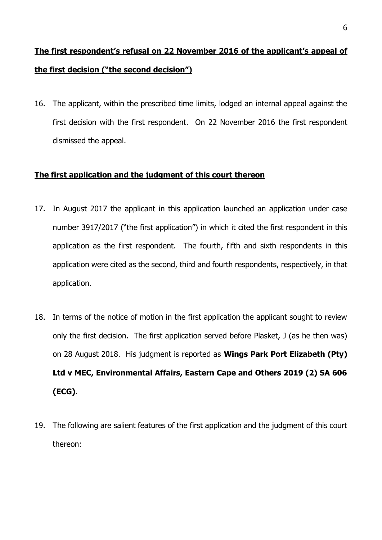# **The first respondent's refusal on 22 November 2016 of the applicant's appeal of the first decision ("the second decision")**

16. The applicant, within the prescribed time limits, lodged an internal appeal against the first decision with the first respondent. On 22 November 2016 the first respondent dismissed the appeal.

#### **The first application and the judgment of this court thereon**

- 17. In August 2017 the applicant in this application launched an application under case number 3917/2017 ("the first application") in which it cited the first respondent in this application as the first respondent. The fourth, fifth and sixth respondents in this application were cited as the second, third and fourth respondents, respectively, in that application.
- 18. In terms of the notice of motion in the first application the applicant sought to review only the first decision. The first application served before Plasket, J (as he then was) on 28 August 2018. His judgment is reported as **Wings Park Port Elizabeth (Pty) Ltd v MEC, Environmental Affairs, Eastern Cape and Others 2019 (2) SA 606 (ECG)**.
- 19. The following are salient features of the first application and the judgment of this court thereon: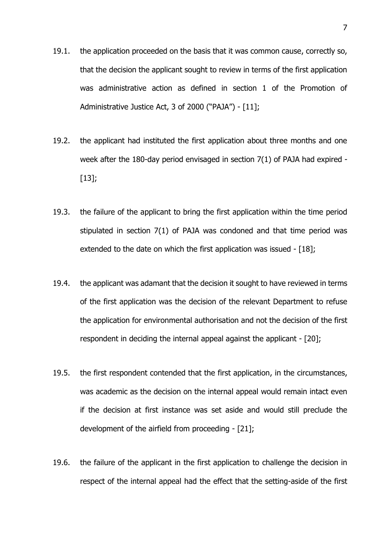- 19.1. the application proceeded on the basis that it was common cause, correctly so, that the decision the applicant sought to review in terms of the first application was administrative action as defined in section 1 of the Promotion of Administrative Justice Act, 3 of 2000 ("PAJA") - [11];
- 19.2. the applicant had instituted the first application about three months and one week after the 180-day period envisaged in section 7(1) of PAJA had expired - [13];
- 19.3. the failure of the applicant to bring the first application within the time period stipulated in section 7(1) of PAJA was condoned and that time period was extended to the date on which the first application was issued - [18];
- 19.4. the applicant was adamant that the decision it sought to have reviewed in terms of the first application was the decision of the relevant Department to refuse the application for environmental authorisation and not the decision of the first respondent in deciding the internal appeal against the applicant - [20];
- 19.5. the first respondent contended that the first application, in the circumstances, was academic as the decision on the internal appeal would remain intact even if the decision at first instance was set aside and would still preclude the development of the airfield from proceeding - [21];
- 19.6. the failure of the applicant in the first application to challenge the decision in respect of the internal appeal had the effect that the setting-aside of the first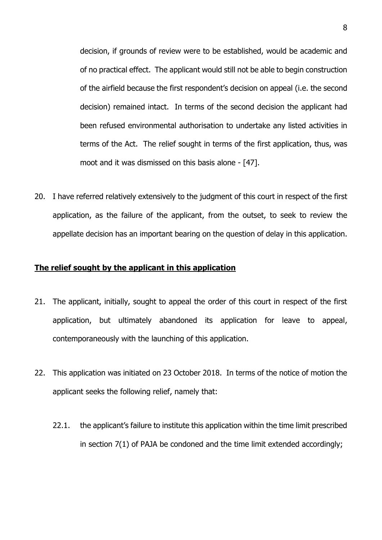decision, if grounds of review were to be established, would be academic and of no practical effect. The applicant would still not be able to begin construction of the airfield because the first respondent's decision on appeal (i.e. the second decision) remained intact. In terms of the second decision the applicant had been refused environmental authorisation to undertake any listed activities in terms of the Act. The relief sought in terms of the first application, thus, was moot and it was dismissed on this basis alone - [47].

20. I have referred relatively extensively to the judgment of this court in respect of the first application, as the failure of the applicant, from the outset, to seek to review the appellate decision has an important bearing on the question of delay in this application.

#### **The relief sought by the applicant in this application**

- 21. The applicant, initially, sought to appeal the order of this court in respect of the first application, but ultimately abandoned its application for leave to appeal, contemporaneously with the launching of this application.
- 22. This application was initiated on 23 October 2018. In terms of the notice of motion the applicant seeks the following relief, namely that:
	- 22.1. the applicant's failure to institute this application within the time limit prescribed in section 7(1) of PAJA be condoned and the time limit extended accordingly;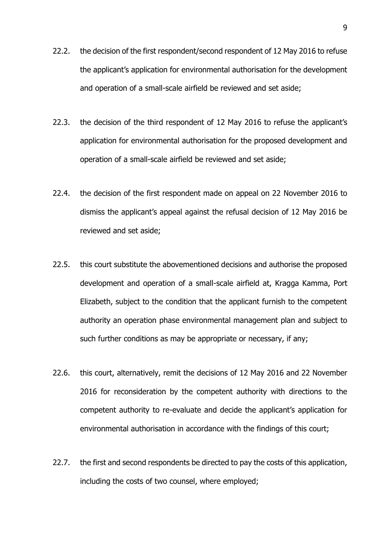- 22.2. the decision of the first respondent/second respondent of 12 May 2016 to refuse the applicant's application for environmental authorisation for the development and operation of a small-scale airfield be reviewed and set aside;
- 22.3. the decision of the third respondent of 12 May 2016 to refuse the applicant's application for environmental authorisation for the proposed development and operation of a small-scale airfield be reviewed and set aside;
- 22.4. the decision of the first respondent made on appeal on 22 November 2016 to dismiss the applicant's appeal against the refusal decision of 12 May 2016 be reviewed and set aside;
- 22.5. this court substitute the abovementioned decisions and authorise the proposed development and operation of a small-scale airfield at, Kragga Kamma, Port Elizabeth, subject to the condition that the applicant furnish to the competent authority an operation phase environmental management plan and subject to such further conditions as may be appropriate or necessary, if any;
- 22.6. this court, alternatively, remit the decisions of 12 May 2016 and 22 November 2016 for reconsideration by the competent authority with directions to the competent authority to re-evaluate and decide the applicant's application for environmental authorisation in accordance with the findings of this court;
- 22.7. the first and second respondents be directed to pay the costs of this application, including the costs of two counsel, where employed;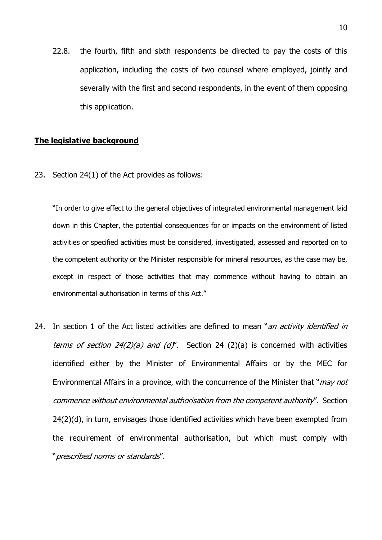22.8. the fourth, fifth and sixth respondents be directed to pay the costs of this application, including the costs of two counsel where employed, jointly and severally with the first and second respondents, in the event of them opposing this application.

#### **The legislative background**

23. Section 24(1) of the Act provides as follows:

"In order to give effect to the general objectives of integrated environmental management laid down in this Chapter, the potential consequences for or impacts on the environment of listed activities or specified activities must be considered, investigated, assessed and reported on to the competent authority or the Minister responsible for mineral resources, as the case may be, except in respect of those activities that may commence without having to obtain an environmental authorisation in terms of this Act."

24. In section 1 of the Act listed activities are defined to mean "an activity identified in terms of section  $24(2)(a)$  and  $(d)$ ". Section 24 (2)(a) is concerned with activities identified either by the Minister of Environmental Affairs or by the MEC for Environmental Affairs in a province, with the concurrence of the Minister that "*may not* commence without environmental authorisation from the competent authority". Section 24(2)(d), in turn, envisages those identified activities which have been exempted from the requirement of environmental authorisation, but which must comply with "prescribed norms or standards".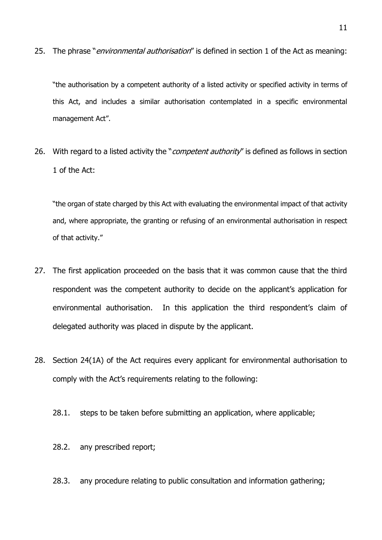25. The phrase "*environmental authorisation*" is defined in section 1 of the Act as meaning:

"the authorisation by a competent authority of a listed activity or specified activity in terms of this Act, and includes a similar authorisation contemplated in a specific environmental management Act".

26. With regard to a listed activity the "*competent authority*" is defined as follows in section 1 of the Act:

"the organ of state charged by this Act with evaluating the environmental impact of that activity and, where appropriate, the granting or refusing of an environmental authorisation in respect of that activity."

- 27. The first application proceeded on the basis that it was common cause that the third respondent was the competent authority to decide on the applicant's application for environmental authorisation. In this application the third respondent's claim of delegated authority was placed in dispute by the applicant.
- 28. Section 24(1A) of the Act requires every applicant for environmental authorisation to comply with the Act's requirements relating to the following:
	- 28.1. steps to be taken before submitting an application, where applicable;
	- 28.2. any prescribed report;
	- 28.3. any procedure relating to public consultation and information gathering;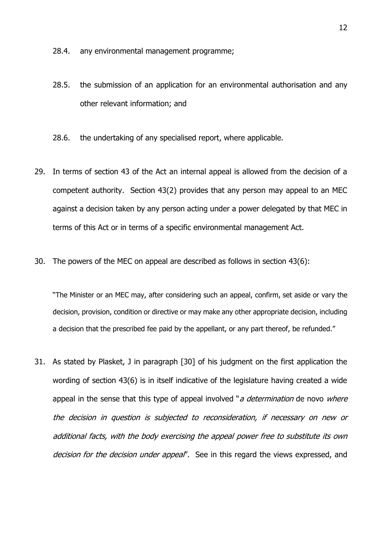28.4. any environmental management programme;

- 28.5. the submission of an application for an environmental authorisation and any other relevant information; and
- 28.6. the undertaking of any specialised report, where applicable.
- 29. In terms of section 43 of the Act an internal appeal is allowed from the decision of a competent authority. Section 43(2) provides that any person may appeal to an MEC against a decision taken by any person acting under a power delegated by that MEC in terms of this Act or in terms of a specific environmental management Act.
- 30. The powers of the MEC on appeal are described as follows in section 43(6):

"The Minister or an MEC may, after considering such an appeal, confirm, set aside or vary the decision, provision, condition or directive or may make any other appropriate decision, including a decision that the prescribed fee paid by the appellant, or any part thereof, be refunded."

31. As stated by Plasket, J in paragraph [30] of his judgment on the first application the wording of section 43(6) is in itself indicative of the legislature having created a wide appeal in the sense that this type of appeal involved "*a determination* de novo *where* the decision in question is subjected to reconsideration, if necessary on new or additional facts, with the body exercising the appeal power free to substitute its own decision for the decision under appeal". See in this regard the views expressed, and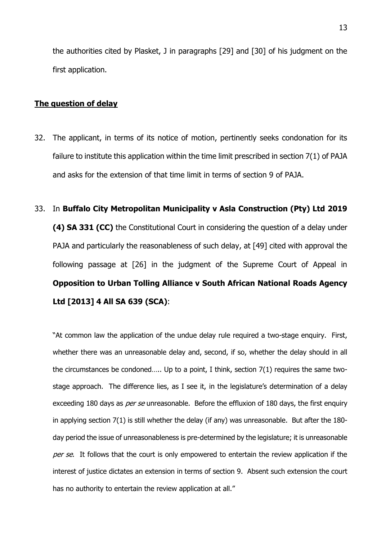the authorities cited by Plasket, J in paragraphs [29] and [30] of his judgment on the first application.

#### **The question of delay**

- 32. The applicant, in terms of its notice of motion, pertinently seeks condonation for its failure to institute this application within the time limit prescribed in section 7(1) of PAJA and asks for the extension of that time limit in terms of section 9 of PAJA.
- 33. In **Buffalo City Metropolitan Municipality v Asla Construction (Pty) Ltd 2019 (4) SA 331 (CC)** the Constitutional Court in considering the question of a delay under PAJA and particularly the reasonableness of such delay, at [49] cited with approval the following passage at [26] in the judgment of the Supreme Court of Appeal in **Opposition to Urban Tolling Alliance v South African National Roads Agency Ltd [2013] 4 All SA 639 (SCA)**:

"At common law the application of the undue delay rule required a two-stage enquiry. First, whether there was an unreasonable delay and, second, if so, whether the delay should in all the circumstances be condoned….. Up to a point, I think, section 7(1) requires the same twostage approach. The difference lies, as I see it, in the legislature's determination of a delay exceeding 180 days as *per se* unreasonable. Before the effluxion of 180 days, the first enquiry in applying section 7(1) is still whether the delay (if any) was unreasonable. But after the 180 day period the issue of unreasonableness is pre-determined by the legislature; it is unreasonable per se. It follows that the court is only empowered to entertain the review application if the interest of justice dictates an extension in terms of section 9. Absent such extension the court has no authority to entertain the review application at all."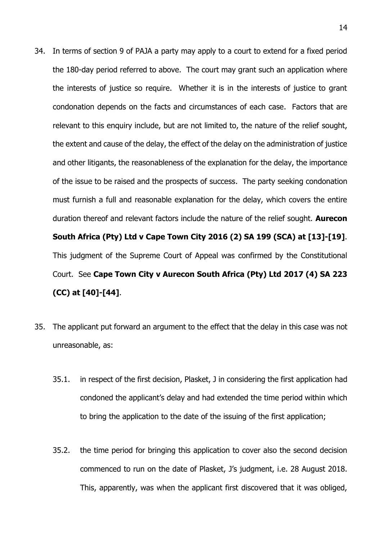- 34. In terms of section 9 of PAJA a party may apply to a court to extend for a fixed period the 180-day period referred to above. The court may grant such an application where the interests of justice so require. Whether it is in the interests of justice to grant condonation depends on the facts and circumstances of each case. Factors that are relevant to this enquiry include, but are not limited to, the nature of the relief sought, the extent and cause of the delay, the effect of the delay on the administration of justice and other litigants, the reasonableness of the explanation for the delay, the importance of the issue to be raised and the prospects of success. The party seeking condonation must furnish a full and reasonable explanation for the delay, which covers the entire duration thereof and relevant factors include the nature of the relief sought. **Aurecon South Africa (Pty) Ltd v Cape Town City 2016 (2) SA 199 (SCA) at [13]-[19]**. This judgment of the Supreme Court of Appeal was confirmed by the Constitutional Court. See **Cape Town City v Aurecon South Africa (Pty) Ltd 2017 (4) SA 223 (CC) at [40]-[44]**.
- 35. The applicant put forward an argument to the effect that the delay in this case was not unreasonable, as:
	- 35.1. in respect of the first decision, Plasket, J in considering the first application had condoned the applicant's delay and had extended the time period within which to bring the application to the date of the issuing of the first application;
	- 35.2. the time period for bringing this application to cover also the second decision commenced to run on the date of Plasket, J's judgment, i.e. 28 August 2018. This, apparently, was when the applicant first discovered that it was obliged,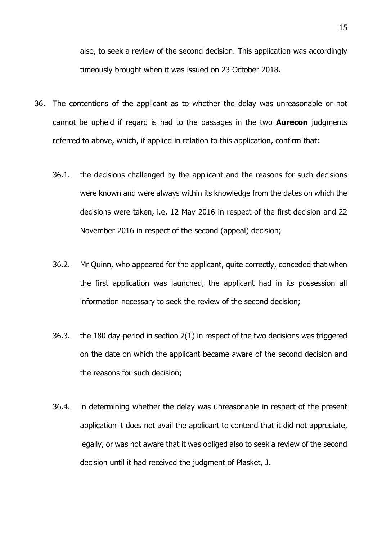also, to seek a review of the second decision. This application was accordingly timeously brought when it was issued on 23 October 2018.

- 36. The contentions of the applicant as to whether the delay was unreasonable or not cannot be upheld if regard is had to the passages in the two **Aurecon** judgments referred to above, which, if applied in relation to this application, confirm that:
	- 36.1. the decisions challenged by the applicant and the reasons for such decisions were known and were always within its knowledge from the dates on which the decisions were taken, i.e. 12 May 2016 in respect of the first decision and 22 November 2016 in respect of the second (appeal) decision;
	- 36.2. Mr Quinn, who appeared for the applicant, quite correctly, conceded that when the first application was launched, the applicant had in its possession all information necessary to seek the review of the second decision;
	- 36.3. the 180 day-period in section 7(1) in respect of the two decisions was triggered on the date on which the applicant became aware of the second decision and the reasons for such decision;
	- 36.4. in determining whether the delay was unreasonable in respect of the present application it does not avail the applicant to contend that it did not appreciate, legally, or was not aware that it was obliged also to seek a review of the second decision until it had received the judgment of Plasket, J.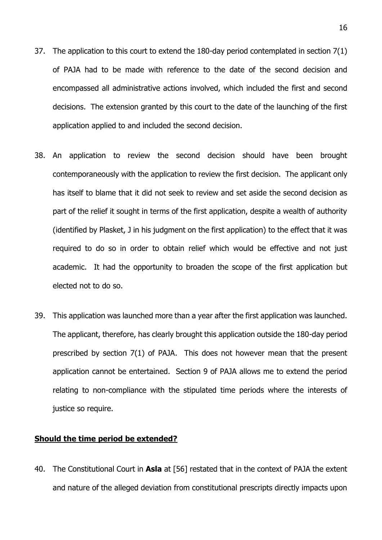- 37. The application to this court to extend the 180-day period contemplated in section 7(1) of PAJA had to be made with reference to the date of the second decision and encompassed all administrative actions involved, which included the first and second decisions. The extension granted by this court to the date of the launching of the first application applied to and included the second decision.
- 38. An application to review the second decision should have been brought contemporaneously with the application to review the first decision. The applicant only has itself to blame that it did not seek to review and set aside the second decision as part of the relief it sought in terms of the first application, despite a wealth of authority (identified by Plasket, J in his judgment on the first application) to the effect that it was required to do so in order to obtain relief which would be effective and not just academic. It had the opportunity to broaden the scope of the first application but elected not to do so.
- 39. This application was launched more than a year after the first application was launched. The applicant, therefore, has clearly brought this application outside the 180-day period prescribed by section 7(1) of PAJA. This does not however mean that the present application cannot be entertained. Section 9 of PAJA allows me to extend the period relating to non-compliance with the stipulated time periods where the interests of justice so require.

#### **Should the time period be extended?**

40. The Constitutional Court in **Asla** at [56] restated that in the context of PAJA the extent and nature of the alleged deviation from constitutional prescripts directly impacts upon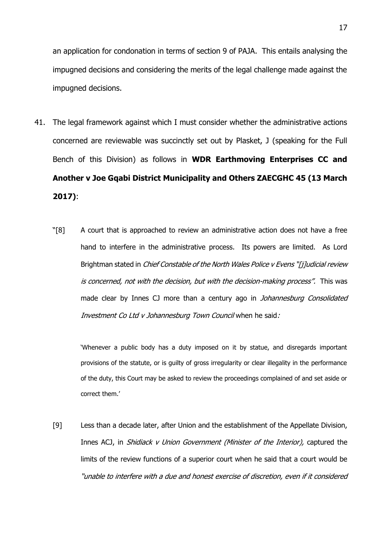an application for condonation in terms of section 9 of PAJA. This entails analysing the impugned decisions and considering the merits of the legal challenge made against the impugned decisions.

- 41. The legal framework against which I must consider whether the administrative actions concerned are reviewable was succinctly set out by Plasket, J (speaking for the Full Bench of this Division) as follows in **WDR Earthmoving Enterprises CC and Another v Joe Gqabi District Municipality and Others ZAECGHC 45 (13 March 2017)**:
	- "[8] A court that is approached to review an administrative action does not have a free hand to interfere in the administrative process. Its powers are limited. As Lord Brightman stated in *Chief Constable of the North Wales Police v Evens "[i]udicial review* is concerned, not with the decision, but with the decision-making process". This was made clear by Innes CJ more than a century ago in *Johannesburg Consolidated* Investment Co Ltd v Johannesburg Town Council when he said:

'Whenever a public body has a duty imposed on it by statue, and disregards important provisions of the statute, or is guilty of gross irregularity or clear illegality in the performance of the duty, this Court may be asked to review the proceedings complained of and set aside or correct them.'

[9] Less than a decade later, after Union and the establishment of the Appellate Division, Innes ACJ, in Shidiack v Union Government (Minister of the Interior), captured the limits of the review functions of a superior court when he said that a court would be "unable to interfere with a due and honest exercise of discretion, even if it considered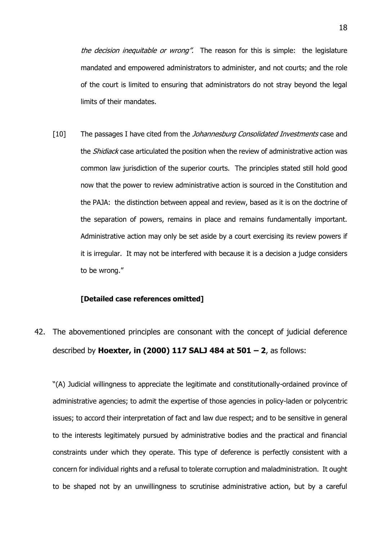the decision inequitable or wrong". The reason for this is simple: the legislature mandated and empowered administrators to administer, and not courts; and the role of the court is limited to ensuring that administrators do not stray beyond the legal limits of their mandates.

[10] The passages I have cited from the *Johannesburg Consolidated Investments* case and the *Shidiack* case articulated the position when the review of administrative action was common law jurisdiction of the superior courts. The principles stated still hold good now that the power to review administrative action is sourced in the Constitution and the PAJA: the distinction between appeal and review, based as it is on the doctrine of the separation of powers, remains in place and remains fundamentally important. Administrative action may only be set aside by a court exercising its review powers if it is irregular. It may not be interfered with because it is a decision a judge considers to be wrong."

#### **[Detailed case references omitted]**

42. The abovementioned principles are consonant with the concept of judicial deference described by **Hoexter, in (2000) 117 SALJ 484 at 501 – 2**, as follows:

"(A) Judicial willingness to appreciate the legitimate and constitutionally-ordained province of administrative agencies; to admit the expertise of those agencies in policy-laden or polycentric issues; to accord their interpretation of fact and law due respect; and to be sensitive in general to the interests legitimately pursued by administrative bodies and the practical and financial constraints under which they operate. This type of deference is perfectly consistent with a concern for individual rights and a refusal to tolerate corruption and maladministration. It ought to be shaped not by an unwillingness to scrutinise administrative action, but by a careful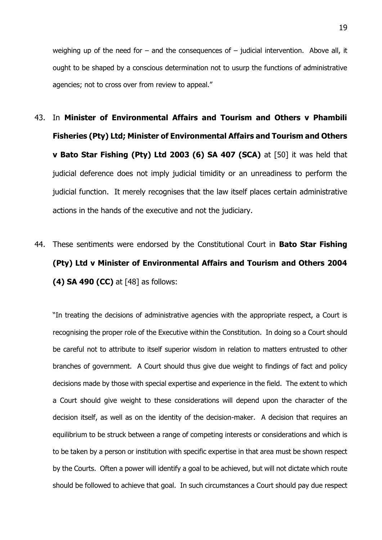weighing up of the need for – and the consequences of – judicial intervention. Above all, it ought to be shaped by a conscious determination not to usurp the functions of administrative agencies; not to cross over from review to appeal."

- 43. In **Minister of Environmental Affairs and Tourism and Others v Phambili Fisheries (Pty) Ltd; Minister of Environmental Affairs and Tourism and Others v Bato Star Fishing (Pty) Ltd 2003 (6) SA 407 (SCA)** at [50] it was held that judicial deference does not imply judicial timidity or an unreadiness to perform the judicial function. It merely recognises that the law itself places certain administrative actions in the hands of the executive and not the judiciary.
- 44. These sentiments were endorsed by the Constitutional Court in **Bato Star Fishing (Pty) Ltd v Minister of Environmental Affairs and Tourism and Others 2004 (4) SA 490 (CC)** at [48] as follows:

"In treating the decisions of administrative agencies with the appropriate respect, a Court is recognising the proper role of the Executive within the Constitution. In doing so a Court should be careful not to attribute to itself superior wisdom in relation to matters entrusted to other branches of government. A Court should thus give due weight to findings of fact and policy decisions made by those with special expertise and experience in the field. The extent to which a Court should give weight to these considerations will depend upon the character of the decision itself, as well as on the identity of the decision-maker. A decision that requires an equilibrium to be struck between a range of competing interests or considerations and which is to be taken by a person or institution with specific expertise in that area must be shown respect by the Courts. Often a power will identify a goal to be achieved, but will not dictate which route should be followed to achieve that goal. In such circumstances a Court should pay due respect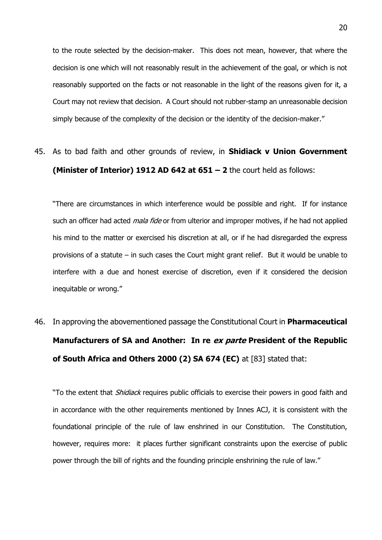to the route selected by the decision-maker. This does not mean, however, that where the decision is one which will not reasonably result in the achievement of the goal, or which is not reasonably supported on the facts or not reasonable in the light of the reasons given for it, a Court may not review that decision. A Court should not rubber-stamp an unreasonable decision simply because of the complexity of the decision or the identity of the decision-maker."

45. As to bad faith and other grounds of review, in **Shidiack v Union Government (Minister of Interior) 1912 AD 642 at 651 – 2** the court held as follows:

"There are circumstances in which interference would be possible and right. If for instance such an officer had acted *mala fide* or from ulterior and improper motives, if he had not applied his mind to the matter or exercised his discretion at all, or if he had disregarded the express provisions of a statute – in such cases the Court might grant relief. But it would be unable to interfere with a due and honest exercise of discretion, even if it considered the decision inequitable or wrong."

46. In approving the abovementioned passage the Constitutional Court in **Pharmaceutical Manufacturers of SA and Another: In re ex parte President of the Republic of South Africa and Others 2000 (2) SA 674 (EC)** at [83] stated that:

"To the extent that *Shidiack* requires public officials to exercise their powers in good faith and in accordance with the other requirements mentioned by Innes ACJ, it is consistent with the foundational principle of the rule of law enshrined in our Constitution. The Constitution, however, requires more: it places further significant constraints upon the exercise of public power through the bill of rights and the founding principle enshrining the rule of law."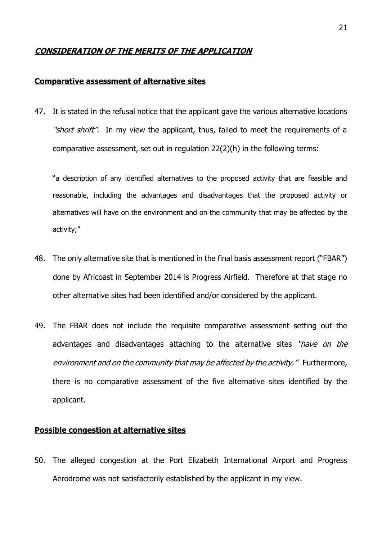#### **CONSIDERATION OF THE MERITS OF THE APPLICATION**

#### **Comparative assessment of alternative sites**

47. It is stated in the refusal notice that the applicant gave the various alternative locations "short shrift". In my view the applicant, thus, failed to meet the requirements of a comparative assessment, set out in regulation 22(2)(h) in the following terms:

"a description of any identified alternatives to the proposed activity that are feasible and reasonable, including the advantages and disadvantages that the proposed activity or alternatives will have on the environment and on the community that may be affected by the activity;"

- 48. The only alternative site that is mentioned in the final basis assessment report ("FBAR") done by Africoast in September 2014 is Progress Airfield. Therefore at that stage no other alternative sites had been identified and/or considered by the applicant.
- 49. The FBAR does not include the requisite comparative assessment setting out the advantages and disadvantages attaching to the alternative sites "have on the environment and on the community that may be affected by the activity." Furthermore, there is no comparative assessment of the five alternative sites identified by the applicant.

#### **Possible congestion at alternative sites**

50. The alleged congestion at the Port Elizabeth International Airport and Progress Aerodrome was not satisfactorily established by the applicant in my view.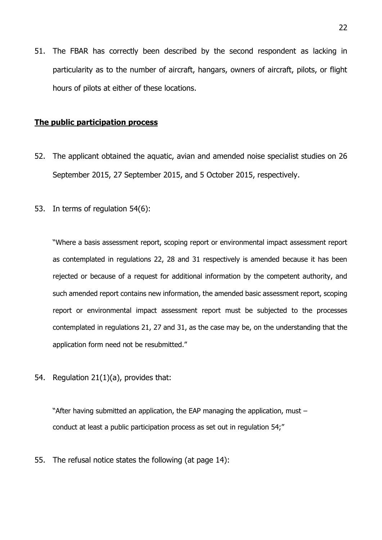51. The FBAR has correctly been described by the second respondent as lacking in particularity as to the number of aircraft, hangars, owners of aircraft, pilots, or flight hours of pilots at either of these locations.

#### **The public participation process**

- 52. The applicant obtained the aquatic, avian and amended noise specialist studies on 26 September 2015, 27 September 2015, and 5 October 2015, respectively.
- 53. In terms of regulation 54(6):

"Where a basis assessment report, scoping report or environmental impact assessment report as contemplated in regulations 22, 28 and 31 respectively is amended because it has been rejected or because of a request for additional information by the competent authority, and such amended report contains new information, the amended basic assessment report, scoping report or environmental impact assessment report must be subjected to the processes contemplated in regulations 21, 27 and 31, as the case may be, on the understanding that the application form need not be resubmitted."

54. Regulation 21(1)(a), provides that:

"After having submitted an application, the EAP managing the application, must – conduct at least a public participation process as set out in regulation 54;"

55. The refusal notice states the following (at page 14):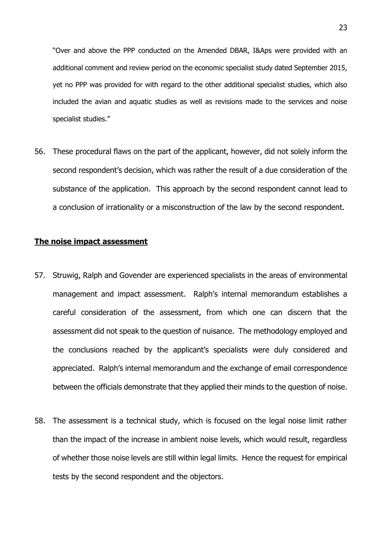"Over and above the PPP conducted on the Amended DBAR, I&Aps were provided with an additional comment and review period on the economic specialist study dated September 2015, yet no PPP was provided for with regard to the other additional specialist studies, which also included the avian and aquatic studies as well as revisions made to the services and noise specialist studies."

56. These procedural flaws on the part of the applicant, however, did not solely inform the second respondent's decision, which was rather the result of a due consideration of the substance of the application. This approach by the second respondent cannot lead to a conclusion of irrationality or a misconstruction of the law by the second respondent.

#### **The noise impact assessment**

- 57. Struwig, Ralph and Govender are experienced specialists in the areas of environmental management and impact assessment. Ralph's internal memorandum establishes a careful consideration of the assessment, from which one can discern that the assessment did not speak to the question of nuisance. The methodology employed and the conclusions reached by the applicant's specialists were duly considered and appreciated. Ralph's internal memorandum and the exchange of email correspondence between the officials demonstrate that they applied their minds to the question of noise.
- 58. The assessment is a technical study, which is focused on the legal noise limit rather than the impact of the increase in ambient noise levels, which would result, regardless of whether those noise levels are still within legal limits. Hence the request for empirical tests by the second respondent and the objectors.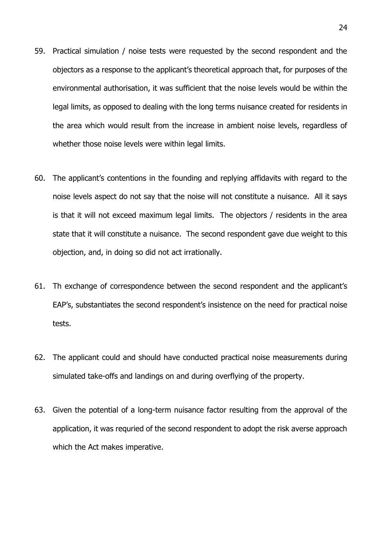- 59. Practical simulation / noise tests were requested by the second respondent and the objectors as a response to the applicant's theoretical approach that, for purposes of the environmental authorisation, it was sufficient that the noise levels would be within the legal limits, as opposed to dealing with the long terms nuisance created for residents in the area which would result from the increase in ambient noise levels, regardless of whether those noise levels were within legal limits.
- 60. The applicant's contentions in the founding and replying affidavits with regard to the noise levels aspect do not say that the noise will not constitute a nuisance. All it says is that it will not exceed maximum legal limits. The objectors / residents in the area state that it will constitute a nuisance. The second respondent gave due weight to this objection, and, in doing so did not act irrationally.
- 61. Th exchange of correspondence between the second respondent and the applicant's EAP's, substantiates the second respondent's insistence on the need for practical noise tests.
- 62. The applicant could and should have conducted practical noise measurements during simulated take-offs and landings on and during overflying of the property.
- 63. Given the potential of a long-term nuisance factor resulting from the approval of the application, it was requried of the second respondent to adopt the risk averse approach which the Act makes imperative.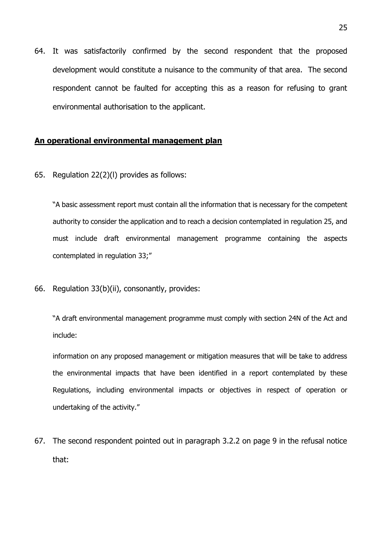64. It was satisfactorily confirmed by the second respondent that the proposed development would constitute a nuisance to the community of that area. The second respondent cannot be faulted for accepting this as a reason for refusing to grant environmental authorisation to the applicant.

#### **An operational environmental management plan**

65. Regulation 22(2)(l) provides as follows:

"A basic assessment report must contain all the information that is necessary for the competent authority to consider the application and to reach a decision contemplated in regulation 25, and must include draft environmental management programme containing the aspects contemplated in regulation 33;"

66. Regulation 33(b)(ii), consonantly, provides:

"A draft environmental management programme must comply with section 24N of the Act and include:

information on any proposed management or mitigation measures that will be take to address the environmental impacts that have been identified in a report contemplated by these Regulations, including environmental impacts or objectives in respect of operation or undertaking of the activity."

67. The second respondent pointed out in paragraph 3.2.2 on page 9 in the refusal notice that: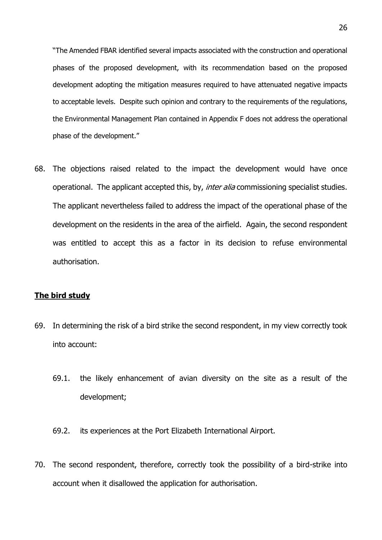"The Amended FBAR identified several impacts associated with the construction and operational phases of the proposed development, with its recommendation based on the proposed development adopting the mitigation measures required to have attenuated negative impacts to acceptable levels. Despite such opinion and contrary to the requirements of the regulations, the Environmental Management Plan contained in Appendix F does not address the operational phase of the development."

68. The objections raised related to the impact the development would have once operational. The applicant accepted this, by, *inter alia* commissioning specialist studies. The applicant nevertheless failed to address the impact of the operational phase of the development on the residents in the area of the airfield. Again, the second respondent was entitled to accept this as a factor in its decision to refuse environmental authorisation.

#### **The bird study**

- 69. In determining the risk of a bird strike the second respondent, in my view correctly took into account:
	- 69.1. the likely enhancement of avian diversity on the site as a result of the development;
	- 69.2. its experiences at the Port Elizabeth International Airport.
- 70. The second respondent, therefore, correctly took the possibility of a bird-strike into account when it disallowed the application for authorisation.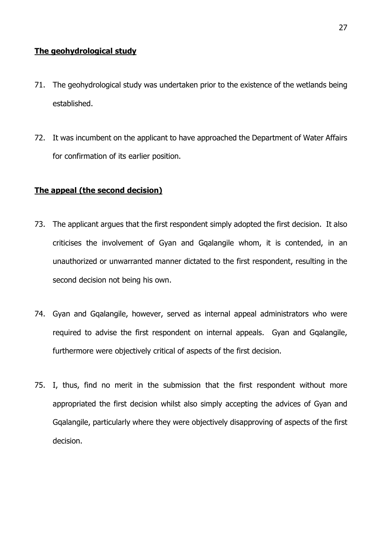#### **The geohydrological study**

- 71. The geohydrological study was undertaken prior to the existence of the wetlands being established.
- 72. It was incumbent on the applicant to have approached the Department of Water Affairs for confirmation of its earlier position.

#### **The appeal (the second decision)**

- 73. The applicant argues that the first respondent simply adopted the first decision. It also criticises the involvement of Gyan and Gqalangile whom, it is contended, in an unauthorized or unwarranted manner dictated to the first respondent, resulting in the second decision not being his own.
- 74. Gyan and Gqalangile, however, served as internal appeal administrators who were required to advise the first respondent on internal appeals. Gyan and Gqalangile, furthermore were objectively critical of aspects of the first decision.
- 75. I, thus, find no merit in the submission that the first respondent without more appropriated the first decision whilst also simply accepting the advices of Gyan and Gqalangile, particularly where they were objectively disapproving of aspects of the first decision.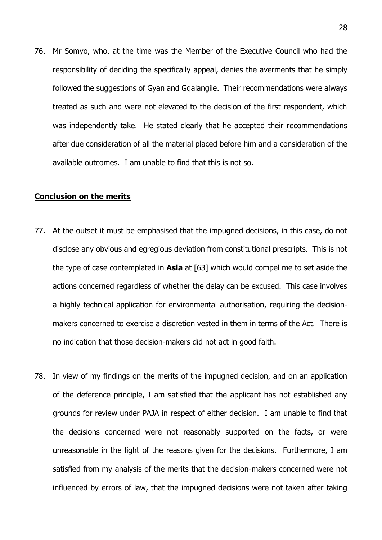76. Mr Somyo, who, at the time was the Member of the Executive Council who had the responsibility of deciding the specifically appeal, denies the averments that he simply followed the suggestions of Gyan and Gqalangile. Their recommendations were always treated as such and were not elevated to the decision of the first respondent, which was independently take. He stated clearly that he accepted their recommendations after due consideration of all the material placed before him and a consideration of the available outcomes. I am unable to find that this is not so.

#### **Conclusion on the merits**

- 77. At the outset it must be emphasised that the impugned decisions, in this case, do not disclose any obvious and egregious deviation from constitutional prescripts. This is not the type of case contemplated in **Asla** at [63] which would compel me to set aside the actions concerned regardless of whether the delay can be excused. This case involves a highly technical application for environmental authorisation, requiring the decisionmakers concerned to exercise a discretion vested in them in terms of the Act. There is no indication that those decision-makers did not act in good faith.
- 78. In view of my findings on the merits of the impugned decision, and on an application of the deference principle, I am satisfied that the applicant has not established any grounds for review under PAJA in respect of either decision. I am unable to find that the decisions concerned were not reasonably supported on the facts, or were unreasonable in the light of the reasons given for the decisions. Furthermore, I am satisfied from my analysis of the merits that the decision-makers concerned were not influenced by errors of law, that the impugned decisions were not taken after taking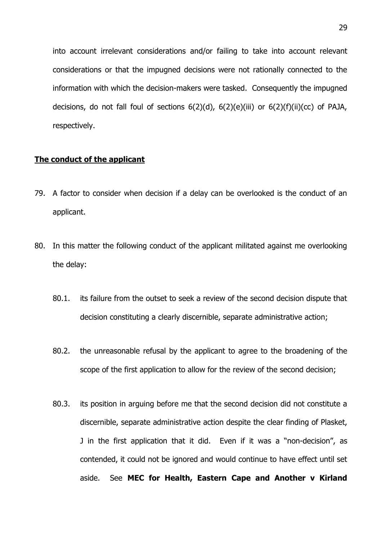into account irrelevant considerations and/or failing to take into account relevant considerations or that the impugned decisions were not rationally connected to the information with which the decision-makers were tasked. Consequently the impugned decisions, do not fall foul of sections  $6(2)(d)$ ,  $6(2)(e)(iii)$  or  $6(2)(f)(ii)(cc)$  of PAJA, respectively.

#### **The conduct of the applicant**

- 79. A factor to consider when decision if a delay can be overlooked is the conduct of an applicant.
- 80. In this matter the following conduct of the applicant militated against me overlooking the delay:
	- 80.1. its failure from the outset to seek a review of the second decision dispute that decision constituting a clearly discernible, separate administrative action;
	- 80.2. the unreasonable refusal by the applicant to agree to the broadening of the scope of the first application to allow for the review of the second decision;
	- 80.3. its position in arguing before me that the second decision did not constitute a discernible, separate administrative action despite the clear finding of Plasket, J in the first application that it did. Even if it was a "non-decision", as contended, it could not be ignored and would continue to have effect until set aside. See **MEC for Health, Eastern Cape and Another v Kirland**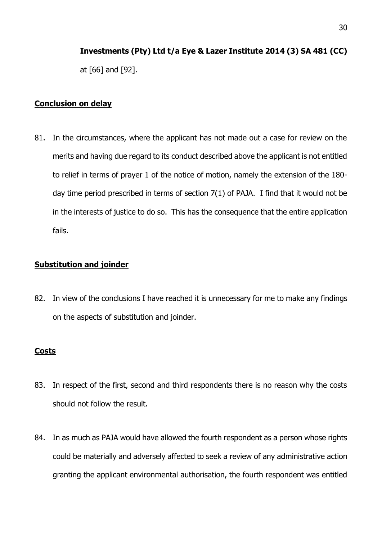# **Investments (Pty) Ltd t/a Eye & Lazer Institute 2014 (3) SA 481 (CC)**

at [66] and [92].

#### **Conclusion on delay**

81. In the circumstances, where the applicant has not made out a case for review on the merits and having due regard to its conduct described above the applicant is not entitled to relief in terms of prayer 1 of the notice of motion, namely the extension of the 180 day time period prescribed in terms of section 7(1) of PAJA. I find that it would not be in the interests of justice to do so. This has the consequence that the entire application fails.

#### **Substitution and joinder**

82. In view of the conclusions I have reached it is unnecessary for me to make any findings on the aspects of substitution and joinder.

#### **Costs**

- 83. In respect of the first, second and third respondents there is no reason why the costs should not follow the result.
- 84. In as much as PAJA would have allowed the fourth respondent as a person whose rights could be materially and adversely affected to seek a review of any administrative action granting the applicant environmental authorisation, the fourth respondent was entitled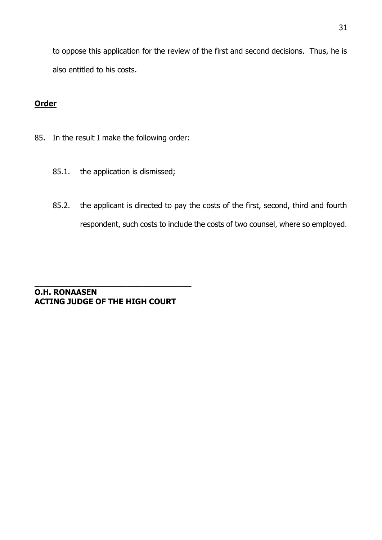to oppose this application for the review of the first and second decisions. Thus, he is also entitled to his costs.

#### **Order**

- 85. In the result I make the following order:
	- 85.1. the application is dismissed;
	- 85.2. the applicant is directed to pay the costs of the first, second, third and fourth respondent, such costs to include the costs of two counsel, where so employed.

**O.H. RONAASEN ACTING JUDGE OF THE HIGH COURT**

**\_\_\_\_\_\_\_\_\_\_\_\_\_\_\_\_\_\_\_\_\_\_\_\_\_\_\_\_\_\_\_\_**